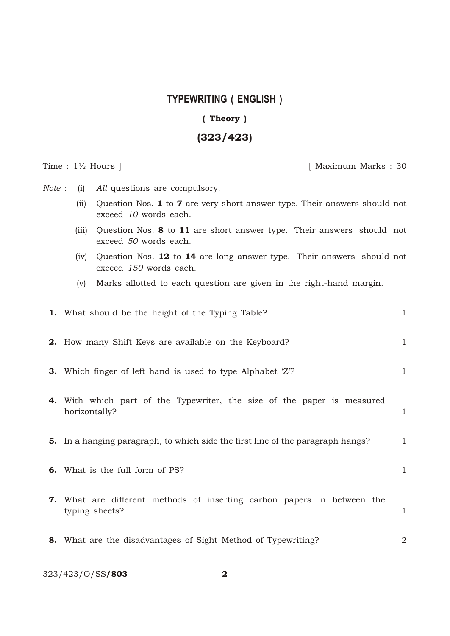## **TYPEWRITING ( ENGLISH )**

## (Theory)

## (323/423)

Time :  $1\frac{1}{2}$  Hours ] [ Maximum Marks : 30

*Note* : (i) *All* questions are compulsory.

- (ii) Question Nos. 1 to 7 are very short answer type. Their answers should not exceed *10* words each.
- (iii) Question Nos. 8 to 11 are short answer type. Their answers should not exceed *50* words each.
- (iv) Question Nos. 12 to 14 are long answer type. Their answers should not exceed *150* words each.
- (v) Marks allotted to each question are given in the right-hand margin.

| <b>1.</b> What should be the height of the Typing Table?                                         | $\mathbf{1}$ |
|--------------------------------------------------------------------------------------------------|--------------|
| <b>2.</b> How many Shift Keys are available on the Keyboard?                                     | $\mathbf{1}$ |
| 3. Which finger of left hand is used to type Alphabet 'Z'?                                       | $\mathbf{1}$ |
| 4. With which part of the Typewriter, the size of the paper is measured<br>horizontally?         | $\mathbf{1}$ |
| <b>5.</b> In a hanging paragraph, to which side the first line of the paragraph hangs?           | $\mathbf{1}$ |
| <b>6.</b> What is the full form of PS?                                                           | $\mathbf{1}$ |
| <b>7.</b> What are different methods of inserting carbon papers in between the<br>typing sheets? | $\mathbf{1}$ |
| 8. What are the disadvantages of Sight Method of Typewriting?                                    | 2            |

323/423/O/SS/803 2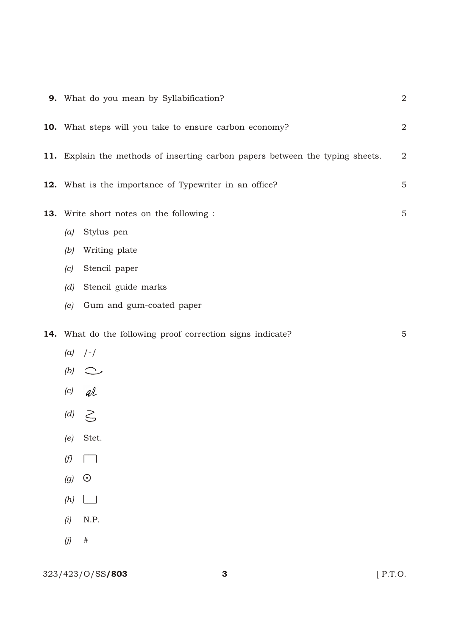| 9. What do you mean by Syllabification?                                       | $\mathbf{2}$   |
|-------------------------------------------------------------------------------|----------------|
| 10. What steps will you take to ensure carbon economy?                        | $\overline{2}$ |
| 11. Explain the methods of inserting carbon papers between the typing sheets. | $\mathbf{2}$   |
| 12. What is the importance of Typewriter in an office?                        | 5              |
| 13. Write short notes on the following :                                      | 5              |
| Stylus pen<br>(a)                                                             |                |
| Writing plate<br>(b)                                                          |                |
| Stencil paper<br>(c)                                                          |                |
| Stencil guide marks<br>(d)                                                    |                |
| Gum and gum-coated paper<br>(e)                                               |                |
| 14. What do the following proof correction signs indicate?                    | 5              |
| $(a)$ /-/                                                                     |                |
| $(b)$ $\sim$                                                                  |                |
| $(c)$ al                                                                      |                |
| (d) $\leq$                                                                    |                |
| Stet.<br>(e)                                                                  |                |
| (f)<br>$\mathbf{L}$                                                           |                |
| $\odot$<br>(g)                                                                |                |
| (h)                                                                           |                |
| $\rm N.P.$<br>(i)                                                             |                |
| (j)<br>$\#$                                                                   |                |
|                                                                               |                |

323/423/O/SS**/803** 3 [ P.T.O.